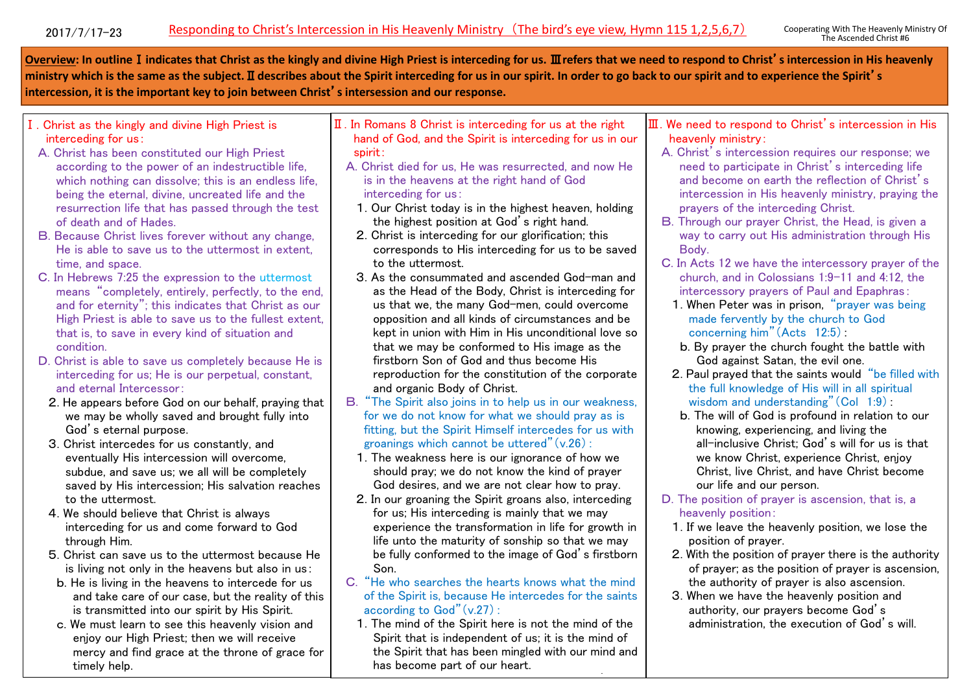**Overview: In outline**Ⅰ**indicates that Christ as the kingly and divine High Priest is interceding for us.** Ⅲ**refers that we need to respond to Christ**'**s intercession in His heavenly ministry which is the same as the subject.**Ⅱ**describes about the Spirit interceding for us in our spirit. In order to go back to our spirit and to experience the Spirit**'**s intercession, it is the important key to join between Christ**'**s intersession and our response.**

- Ⅰ. Christ as the kingly and divine High Priest is interceding for us:
- A. Christ has been constituted our High Priest according to the power of an indestructible life, which nothing can dissolve; this is an endless life. being the eternal, divine, uncreated life and the resurrection life that has passed through the test of death and of Hades.
- B. Because Christ lives forever without any change, He is able to save us to the uttermost in extent, time, and space.
- C. In Hebrews 7:25 the expression to the uttermost means "completely, entirely, perfectly, to the end, and for eternity"; this indicates that Christ as our High Priest is able to save us to the fullest extent, that is, to save in every kind of situation and condition.
- D. Christ is able to save us completely because He is interceding for us; He is our perpetual, constant, and eternal Intercessor:
- 2. He appears before God on our behalf, praying that we may be wholly saved and brought fully into God's eternal purpose.
- 3. Christ intercedes for us constantly, and eventually His intercession will overcome, subdue, and save us; we all will be completely saved by His intercession; His salvation reaches to the uttermost.
- 4. We should believe that Christ is always interceding for us and come forward to God through Him.
- 5. Christ can save us to the uttermost because He is living not only in the heavens but also in us:
- b. He is living in the heavens to intercede for us and take care of our case, but the reality of this is transmitted into our spirit by His Spirit.
- c. We must learn to see this heavenly vision and enjoy our High Priest; then we will receive mercy and find grace at the throne of grace for timely help.
- Ⅱ. In Romans 8 Christ is interceding for us at the right hand of God, and the Spirit is interceding for us in our spirit:
	- A. Christ died for us, He was resurrected, and now He is in the heavens at the right hand of God interceding for us:
		- 1. Our Christ today is in the highest heaven, holding the highest position at God's right hand.
		- 2. Christ is interceding for our glorification; this corresponds to His interceding for us to be saved to the uttermost.
		- 3. As the consummated and ascended God-man and as the Head of the Body, Christ is interceding for us that we, the many God-men, could overcome opposition and all kinds of circumstances and be kept in union with Him in His unconditional love so that we may be conformed to His image as the firstborn Son of God and thus become His reproduction for the constitution of the corporate and organic Body of Christ.
	- B. "The Spirit also joins in to help us in our weakness, for we do not know for what we should pray as is fitting, but the Spirit Himself intercedes for us with groanings which cannot be uttered"(v.26):
		- 1. The weakness here is our ignorance of how we should pray; we do not know the kind of prayer God desires, and we are not clear how to pray.
		- 2. In our groaning the Spirit groans also, interceding for us; His interceding is mainly that we may experience the transformation in life for growth in life unto the maturity of sonship so that we may be fully conformed to the image of God's firstborn Son.
	- C. "He who searches the hearts knows what the mind of the Spirit is, because He intercedes for the saints according to God"(v.27):
		- 1. The mind of the Spirit here is not the mind of the Spirit that is independent of us; it is the mind of the Spirit that has been mingled with our mind and has become part of our heart.

our mind and has become part of our heart of our heart of our heart of our heart of our heart of our heart of o<br>The company of our heart of our heart of our heart of our heart of our heart of our heart of our heart of our

- Ⅲ. We need to respond to Christ's intercession in His heavenly ministry:
	- A. Christ's intercession requires our response; we need to participate in Christ's interceding life and become on earth the reflection of Christ's intercession in His heavenly ministry, praying the prayers of the interceding Christ.
	- B. Through our prayer Christ, the Head, is given a way to carry out His administration through His Body.
	- C. In Acts 12 we have the intercessory prayer of the church, and in Colossians 1:9-11 and 4:12, the intercessory prayers of Paul and Epaphras:
	- 1. When Peter was in prison, "prayer was being made fervently by the church to God concerning him"(Acts 12:5):
	- b. By prayer the church fought the battle with God against Satan, the evil one.
	- 2. Paul prayed that the saints would "be filled with the full knowledge of His will in all spiritual wisdom and understanding"  $(Col \ 1:9)$ :
	- b. The will of God is profound in relation to our knowing, experiencing, and living the all-inclusive Christ; God's will for us is that we know Christ, experience Christ, enjoy Christ, live Christ, and have Christ become our life and our person.
	- D. The position of prayer is ascension, that is, a heavenly position:
		- 1. If we leave the heavenly position, we lose the position of prayer.
		- 2. With the position of prayer there is the authority of prayer; as the position of prayer is ascension, the authority of prayer is also ascension.
		- 3. When we have the heavenly position and authority, our prayers become God's administration, the execution of God's will.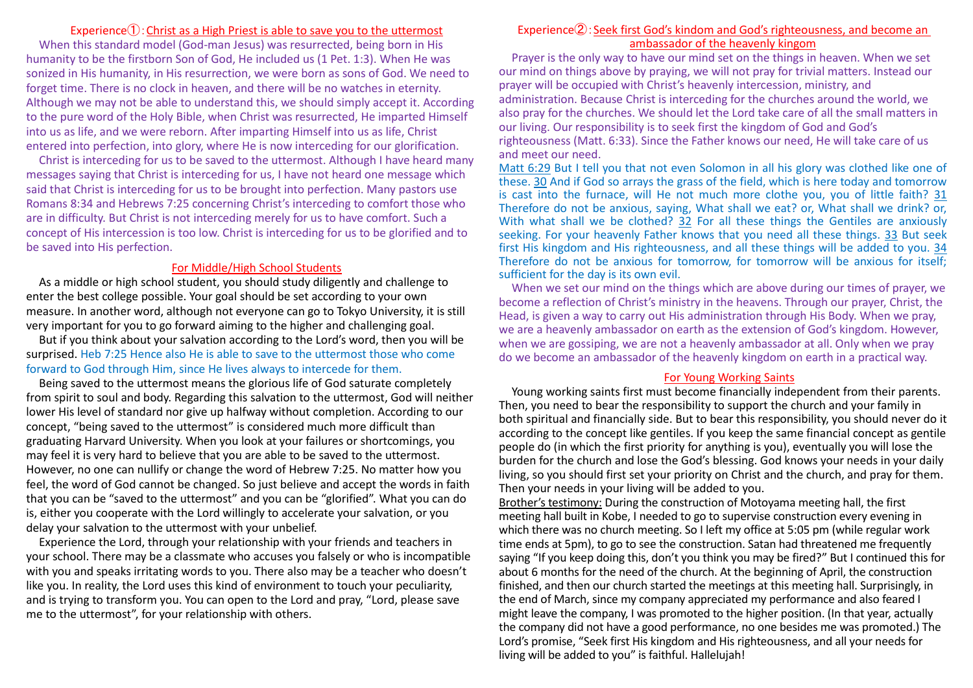### Experience $\left($  $\right)$ : Christ as a High Priest is able to save you to the uttermost

When this standard model (God-man Jesus) was resurrected, being born in His humanity to be the firstborn Son of God, He included us (1 Pet. 1:3). When He was sonized in His humanity, in His resurrection, we were born as sons of God. We need to forget time. There is no clock in heaven, and there will be no watches in eternity. Although we may not be able to understand this, we should simply accept it. According to the pure word of the Holy Bible, when Christ was resurrected, He imparted Himself into us as life, and we were reborn. After imparting Himself into us as life, Christ entered into perfection, into glory, where He is now interceding for our glorification.

Christ is interceding for us to be saved to the uttermost. Although I have heard many messages saying that Christ is interceding for us, I have not heard one message which said that Christ is interceding for us to be brought into perfection. Many pastors use Romans 8:34 and Hebrews 7:25 concerning Christ's interceding to comfort those who are in difficulty. But Christ is not interceding merely for us to have comfort. Such a concept of His intercession is too low. Christ is interceding for us to be glorified and to be saved into His perfection.

### For Middle/High School Students

As a middle or high school student, you should study diligently and challenge to enter the best college possible. Your goal should be set according to your own measure. In another word, although not everyone can go to Tokyo University, it is still very important for you to go forward aiming to the higher and challenging goal.

But if you think about your salvation according to the Lord's word, then you will be surprised. Heb 7:25 Hence also He is able to save to the uttermost those who come forward to God through Him, since He lives always to intercede for them.

Being saved to the uttermost means the glorious life of God saturate completely from spirit to soul and body. Regarding this salvation to the uttermost, God will neither lower His level of standard nor give up halfway without completion. According to our concept, "being saved to the uttermost" is considered much more difficult than graduating Harvard University. When you look at your failures or shortcomings, you may feel it is very hard to believe that you are able to be saved to the uttermost. However, no one can nullify or change the word of Hebrew 7:25. No matter how you feel, the word of God cannot be changed. So just believe and accept the words in faith that you can be "saved to the uttermost" and you can be "glorified". What you can do is, either you cooperate with the Lord willingly to accelerate your salvation, or you delay your salvation to the uttermost with your unbelief.

Experience the Lord, through your relationship with your friends and teachers in your school. There may be a classmate who accuses you falsely or who is incompatible with you and speaks irritating words to you. There also may be a teacher who doesn't like you. In reality, the Lord uses this kind of environment to touch your peculiarity, and is trying to transform you. You can open to the Lord and pray, "Lord, please save me to the uttermost", for your relationship with others.

## Experience  $2$ : Seek first God's kindom and God's righteousness, and become an ambassador of the heavenly kingom

Prayer is the only way to have our mind set on the things in heaven. When we set our mind on things above by praying, we will not pray for trivial matters. Instead our prayer will be occupied with Christ's heavenly intercession, ministry, and administration. Because Christ is interceding for the churches around the world, we also pray for the churches. We should let the Lord take care of all the small matters in our living. Our responsibility is to seek first the kingdom of God and God's righteousness (Matt. 6:33). Since the Father knows our need, He will take care of us and meet our need.

Matt 6:29 But I tell you that not even Solomon in all his glory was clothed like one of these. 30 And if God so arrays the grass of the field, which is here today and tomorrow is cast into the furnace, will He not much more clothe you, you of little faith? 31 Therefore do not be anxious, saying, What shall we eat? or, What shall we drink? or, With what shall we be clothed? 32 For all these things the Gentiles are anxiously seeking. For your heavenly Father knows that you need all these things. 33 But seek first His kingdom and His righteousness, and all these things will be added to you. 34 Therefore do not be anxious for tomorrow, for tomorrow will be anxious for itself; sufficient for the day is its own evil.

When we set our mind on the things which are above during our times of prayer, we become a reflection of Christ's ministry in the heavens. Through our prayer, Christ, the Head, is given a way to carry out His administration through His Body. When we pray, we are a heavenly ambassador on earth as the extension of God's kingdom. However, when we are gossiping, we are not a heavenly ambassador at all. Only when we pray do we become an ambassador of the heavenly kingdom on earth in a practical way.

#### For Young Working Saints

Young working saints first must become financially independent from their parents. Then, you need to bear the responsibility to support the church and your family in both spiritual and financially side. But to bear this responsibility, you should never do it according to the concept like gentiles. If you keep the same financial concept as gentile people do (in which the first priority for anything is you), eventually you will lose the burden for the church and lose the God's blessing. God knows your needs in your daily living, so you should first set your priority on Christ and the church, and pray for them. Then your needs in your living will be added to you.

Brother's testimony: During the construction of Motoyama meeting hall, the first meeting hall built in Kobe, I needed to go to supervise construction every evening in which there was no church meeting. So I left my office at 5:05 pm (while regular work time ends at 5pm), to go to see the construction. Satan had threatened me frequently saying "If you keep doing this, don't you think you may be fired?" But I continued this for about 6 months for the need of the church. At the beginning of April, the construction finished, and then our church started the meetings at this meeting hall. Surprisingly, in the end of March, since my company appreciated my performance and also feared I might leave the company, I was promoted to the higher position. (In that year, actually the company did not have a good performance, no one besides me was promoted.) The Lord's promise, "Seek first His kingdom and His righteousness, and all your needs for living will be added to you" is faithful. Hallelujah!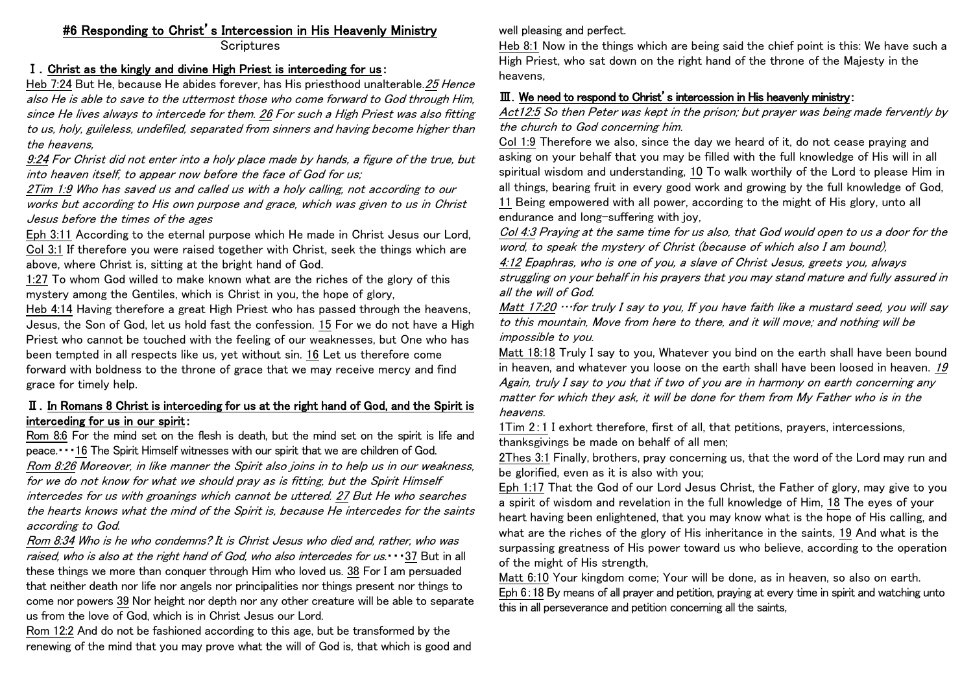# #6 Responding to Christ's Intercession in His Heavenly Ministry

**Scriptures** 

## Ⅰ.Christ as the kingly and divine High Priest is interceding for us:

Heb 7:24 But He, because He abides forever, has His priesthood unalterable. 25 Hence also He is able to save to the uttermost those who come forward to God through Him, since He lives always to intercede for them. 26 For such a High Priest was also fitting to us, holy, guileless, undefiled, separated from sinners and having become higher than the heavens,

9:24 For Christ did not enter into a holy place made by hands, a figure of the true, but into heaven itself, to appear now before the face of God for us;

2Tim 1:9 Who has saved us and called us with a holy calling, not according to our works but according to His own purpose and grace, which was given to us in Christ Jesus before the times of the ages

Eph 3:11 According to the eternal purpose which He made in Christ Jesus our Lord, Col 3:1 If therefore you were raised together with Christ, seek the things which are above, where Christ is, sitting at the bright hand of God.

1:27 To whom God willed to make known what are the riches of the glory of this mystery among the Gentiles, which is Christ in you, the hope of glory,

Heb 4:14 Having therefore a great High Priest who has passed through the heavens, Jesus, the Son of God, let us hold fast the confession. 15 For we do not have a High Priest who cannot be touched with the feeling of our weaknesses, but One who has been tempted in all respects like us, yet without sin. 16 Let us therefore come forward with boldness to the throne of grace that we may receive mercy and find grace for timely help.

## Ⅱ.In Romans 8 Christ is interceding for us at the right hand of God, and the Spirit is interceding for us in our spirit:

Rom 8:6 For the mind set on the flesh is death, but the mind set on the spirit is life and peace.・・・16 The Spirit Himself witnesses with our spirit that we are children of God. Rom 8:26 Moreover, in like manner the Spirit also joins in to help us in our weakness, for we do not know for what we should pray as is fitting, but the Spirit Himself intercedes for us with groanings which cannot be uttered. 27 But He who searches the hearts knows what the mind of the Spirit is, because He intercedes for the saints according to God.

Rom 8:34 Who is he who condemns? It is Christ Jesus who died and, rather, who was raised, who is also at the right hand of God, who also intercedes for  $us. \cdot \cdot \cdot 37$  But in all these things we more than conquer through Him who loved us. 38 For I am persuaded that neither death nor life nor angels nor principalities nor things present nor things to come nor powers 39 Nor height nor depth nor any other creature will be able to separate us from the love of God, which is in Christ Jesus our Lord.

Rom 12:2 And do not be fashioned according to this age, but be transformed by the renewing of the mind that you may prove what the will of God is, that which is good and well pleasing and perfect.

Heb 8:1 Now in the things which are being said the chief point is this: We have such a High Priest, who sat down on the right hand of the throne of the Majesty in the heavens,

## Ⅲ.We need to respond to Christ's intercession in His heavenly ministry:

Act12:5 So then Peter was kept in the prison; but prayer was being made fervently by the church to God concerning him.

Col 1:9 Therefore we also, since the day we heard of it, do not cease praying and asking on your behalf that you may be filled with the full knowledge of His will in all spiritual wisdom and understanding, 10 To walk worthily of the Lord to please Him in all things, bearing fruit in every good work and growing by the full knowledge of God, 11 Being empowered with all power, according to the might of His glory, unto all endurance and long-suffering with joy,

Col 4:3 Praying at the same time for us also, that God would open to us a door for the word, to speak the mystery of Christ (because of which also I am bound),

4:12 Epaphras, who is one of you, a slave of Christ Jesus, greets you, always struggling on your behalf in his prayers that you may stand mature and fully assured in all the will of God.

Matt 17:20 …for truly I say to you, If you have faith like a mustard seed, you will say to this mountain, Move from here to there, and it will move; and nothing will be impossible to you.

Matt 18:18 Truly I say to you, Whatever you bind on the earth shall have been bound in heaven, and whatever you loose on the earth shall have been loosed in heaven. <sup>19</sup> Again, truly I say to you that if two of you are in harmony on earth concerning any matter for which they ask, it will be done for them from My Father who is in the heavens.

1Tim 2:1 I exhort therefore, first of all, that petitions, prayers, intercessions, thanksgivings be made on behalf of all men;

2Thes 3:1 Finally, brothers, pray concerning us, that the word of the Lord may run and be glorified, even as it is also with you;

Eph 1:17 That the God of our Lord Jesus Christ, the Father of glory, may give to you a spirit of wisdom and revelation in the full knowledge of Him, 18 The eyes of your heart having been enlightened, that you may know what is the hope of His calling, and what are the riches of the glory of His inheritance in the saints, 19 And what is the surpassing greatness of His power toward us who believe, according to the operation of the might of His strength,

Matt 6:10 Your kingdom come; Your will be done, as in heaven, so also on earth. Eph 6:18 By means of all prayer and petition, praying at every time in spirit and watching unto this in all perseverance and petition concerning all the saints,